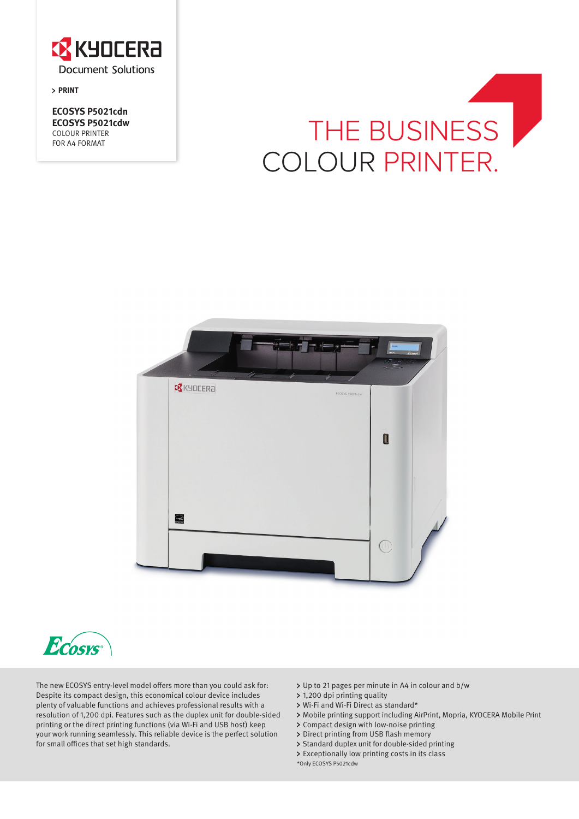

**PRINT** 

**ECOSYS P5021cdn ECOSYS P5021cdw** COLOUR PRINTER FOR A4 FORMAT

# THE BUSINESS COLOUR PRINTER.





The new ECOSYS entry-level model offers more than you could ask for: Despite its compact design, this economical colour device includes plenty of valuable functions and achieves professional results with a resolution of 1,200 dpi. Features such as the duplex unit for double-sided printing or the direct printing functions (via Wi-Fi and USB host) keep your work running seamlessly. This reliable device is the perfect solution for small offices that set high standards.

- Up to 21 pages per minute in A4 in colour and b/w
- 1,200 dpi printing quality
- Wi-Fi and Wi-Fi Direct as standard\*
- Mobile printing support including AirPrint, Mopria, KYOCERA Mobile Print
- Compact design with low-noise printing
- > Direct printing from USB flash memory
- > Standard duplex unit for double-sided printing
- Exceptionally low printing costs in its class
- \*Only ECOSYS P5021cdw